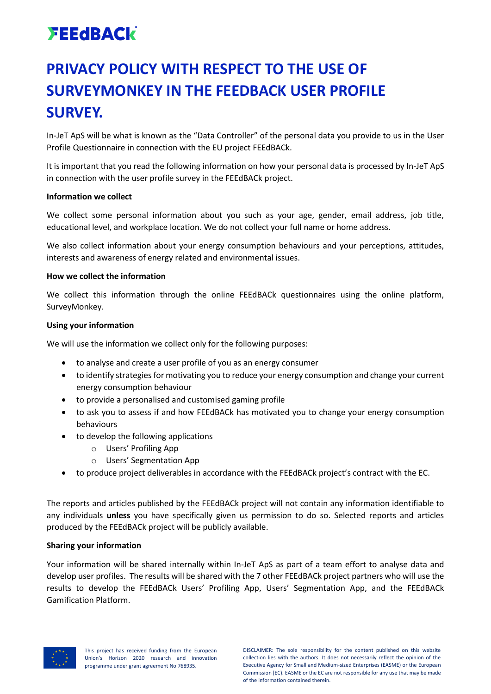# **FEEdBACK**

### **PRIVACY POLICY WITH RESPECT TO THE USE OF SURVEYMONKEY IN THE FEEDBACK USER PROFILE SURVEY.**

In-JeT ApS will be what is known as the "Data Controller" of the personal data you provide to us in the User Profile Questionnaire in connection with the EU project FEEdBACk.

It is important that you read the following information on how your personal data is processed by In-JeT ApS in connection with the user profile survey in the FEEdBACk project.

### **Information we collect**

We collect some personal information about you such as your age, gender, email address, job title, educational level, and workplace location. We do not collect your full name or home address.

We also collect information about your energy consumption behaviours and your perceptions, attitudes, interests and awareness of energy related and environmental issues.

### **How we collect the information**

We collect this information through the online FEEdBACk questionnaires using the online platform, SurveyMonkey.

### **Using your information**

We will use the information we collect only for the following purposes:

- to analyse and create a user profile of you as an energy consumer
- to identify strategies for motivating you to reduce your energy consumption and change your current energy consumption behaviour
- to provide a personalised and customised gaming profile
- to ask you to assess if and how FEEdBACk has motivated you to change your energy consumption behaviours
- to develop the following applications
	- o Users' Profiling App
	- o Users' Segmentation App
- to produce project deliverables in accordance with the FEEdBACk project's contract with the EC.

The reports and articles published by the FEEdBACk project will not contain any information identifiable to any individuals **unless** you have specifically given us permission to do so. Selected reports and articles produced by the FEEdBACk project will be publicly available.

### **Sharing your information**

Your information will be shared internally within In-JeT ApS as part of a team effort to analyse data and develop user profiles. The results will be shared with the 7 other FEEdBACk project partners who will use the results to develop the FEEdBACk Users' Profiling App, Users' Segmentation App, and the FEEdBACk Gamification Platform.

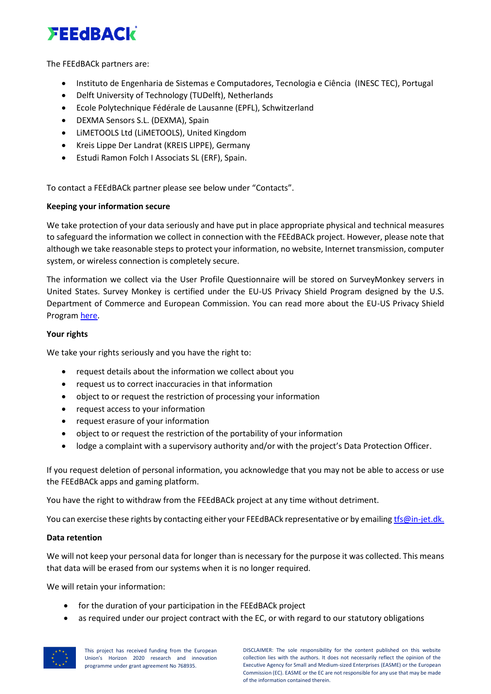## **FEEdBACK**

The FEEdBACk partners are:

- Instituto de Engenharia de Sistemas e Computadores, Tecnologia e Ciência (INESC TEC), Portugal
- Delft University of Technology (TUDelft), Netherlands
- Ecole Polytechnique Fédérale de Lausanne (EPFL), Schwitzerland
- DEXMA Sensors S.L. (DEXMA), Spain
- LiMETOOLS Ltd (LiMETOOLS), United Kingdom
- Kreis Lippe Der Landrat (KREIS LIPPE), Germany
- Estudi Ramon Folch I Associats SL (ERF), Spain.

To contact a FEEdBACk partner please see below under "Contacts".

### **Keeping your information secure**

We take protection of your data seriously and have put in place appropriate physical and technical measures to safeguard the information we collect in connection with the FEEdBACk project. However, please note that although we take reasonable steps to protect your information, no website, Internet transmission, computer system, or wireless connection is completely secure.

The information we collect via the User Profile Questionnaire will be stored on SurveyMonkey servers in United States. Survey Monkey is certified under the EU-US Privacy Shield Program designed by the U.S. Department of Commerce and European Commission. You can read more about the EU-US Privacy Shield Progra[m here.](https://www.commerce.gov/news/fact-sheets/2016/02/fact-sheet-overview-eu-us-privacy-shield-framework)

### **Your rights**

We take your rights seriously and you have the right to:

- request details about the information we collect about you
- request us to correct inaccuracies in that information
- object to or request the restriction of processing your information
- request access to your information
- request erasure of your information
- object to or request the restriction of the portability of your information
- lodge a complaint with a supervisory authority and/or with the project's Data Protection Officer.

If you request deletion of personal information, you acknowledge that you may not be able to access or use the FEEdBACk apps and gaming platform.

You have the right to withdraw from the FEEdBACk project at any time without detriment.

You can exercise these rights by contacting either your FEEdBACk representative or by emailing the ministry of

### **Data retention**

We will not keep your personal data for longer than is necessary for the purpose it was collected. This means that data will be erased from our systems when it is no longer required.

We will retain your information:

- for the duration of your participation in the FEEdBACk project
- as required under our project contract with the EC, or with regard to our statutory obligations